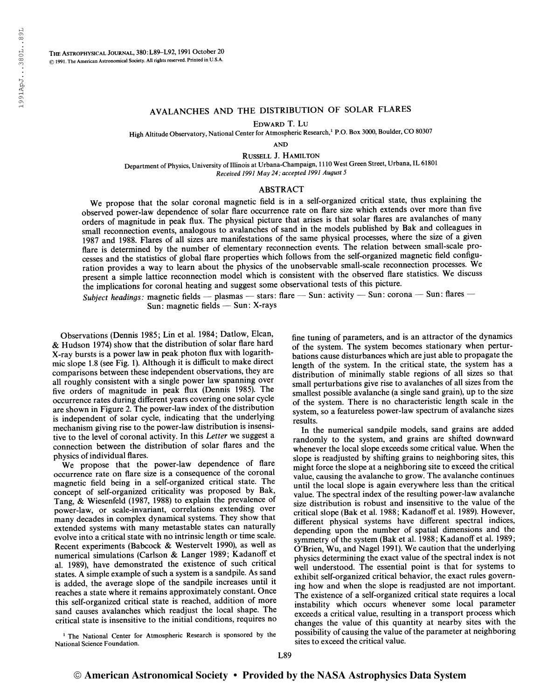## AVALANCHES AND THE DISTRIBUTION OF SOLAR FLARES

Edward T. Lu

High Altitude Observatory, National Center for Atmospheric Research,<sup>1</sup> P.O. Box 3000, Boulder, CO 80307

AND

Russell J. Hamilton

Department of Physics, University of Illinois at Urbana-Champaign, 1110 West Green Street, Urbana, IL 61801 Received 1991 May 24; accepted 1991 August 5

## ABSTRACT

We propose that the solar coronal magnetic field is in a self-organized critical state, thus explaining the observed power-law dependence of solar flare occurrence rate on flare size which extends over more than five orders of magnitude in peak flux. The physical picture that arises is that solar flares are avalanches of many small reconnection events, analogous to avalanches of sand in the models published by Bak and colleagues in 1987 and 1988. Flares of all sizes are manifestations of the same physical processes, where the size of a given flare is determined by the number of elementary reconnection events. The relation between small-scale processes and the statistics of global flare properties which follows from the self-organized magnetic field configuration provides a way to learn about the physics of the unobservable small-scale reconnection processes. We present a simple lattice reconnection model which is consistent with the observed flare statistics. We discuss the implications for coronal heating and suggest some observational tests of this picture.

Subject headings: magnetic fields — plasmas — stars: flare — Sun: activity — Sun: corona — Sun: flares — Sun: magnetic fields — Sun: X-rays

Observations (Dennis 1985; Lin et al. 1984; Datlow, Elcan, & Hudson 1974) show that the distribution of solar flare hard X-ray bursts is a power law in peak photon flux with logarithmic slope 1.8 (see Fig. 1). Although it is difficult to make direct comparisons between these independent observations, they are all roughly consistent with a single power law spanning over five orders of magnitude in peak flux (Dennis 1985). The occurrence rates during different years covering one solar cycle are shown in Figure 2. The power-law index of the distribution is independent of solar cycle, indicating that the underlying mechanism giving rise to the power-law distribution is insensitive to the level of coronal activity. In this Letter we suggest a connection between the distribution of solar flares and the physics of individual flares.

We propose that the power-law dependence of flare occurrence rate on flare size is a consequence of the coronal magnetic field being in a self-organized critical state. The concept of self-organized criticality was proposed by Bak, Tang, & Wiesenfeld (1987, 1988) to explain the prevalence of power-law, or scale-invariant, correlations extending over many decades in complex dynamical systems. They show that extended systems with many metastable states can naturally evolve into a critical state with no intrinsic length or time scale. Recent experiments (Babcock & Westervelt 1990), as well as numerical simulations (Carlson & Langer 1989; Kadanoff et al. 1989), have demonstrated the existence of such critical states. A simple example of such a system is a sandpile. As sand is added, the average slope of the sandpile increases until it reaches a state where it remains approximately constant. Once this self-organized critical state is reached, addition of more sand causes avalanches which readjust the local shape. The critical state is insensitive to the initial conditions, requires no

<sup>1</sup> The National Center for Atmospheric Research is sponsored by the National Science Foundation.

fine tuning of parameters, and is an attractor of the dynamics of the system. The system becomes stationary when perturbations cause disturbances which are just able to propagate the length of the system. In the critical state, the system has a distribution of minimally stable regions of all sizes so that small perturbations give rise to avalanches of all sizes from the smallest possible avalanche (a single sand grain), up to the size of the system. There is no characteristic length scale in the system, so a featureless power-law spectrum of avalanche sizes results.

In the numerical sandpile models, sand grains are added randomly to the system, and grains are shifted downward whenever the local slope exceeds some critical value. When the slope is readjusted by shifting grains to neighboring sites, this might force the slope at a neighboring site to exceed the critical value, causing the avalanche to grow. The avalanche continues until the local slope is again everywhere less than the critical value. The spectral index of the resulting power-law avalanche size distribution is robust and insensitive to the value of the critical slope (Bak et al. 1988; Kadanoff et al. 1989). However, different physical systems have different spectral indices, depending upon the number of spatial dimensions and the symmetry of the system (Bak et al. 1988; Kadanoff et al. 1989; O'Brien, Wu, and Nagel 1991). We caution that the underlying physics determining the exact value of the spectral index is not well understood. The essential point is that for systems to exhibit self-organized critical behavior, the exact rules governing how and when the slope is readjusted are not important. The existence of a self-organized critical state requires a local instability which occurs whenever some local parameter exceeds a critical value, resulting in a transport process which changes the value of this quantity at nearby sites with the possibility of causing the value of the parameter at neighboring sites to exceed the critical value.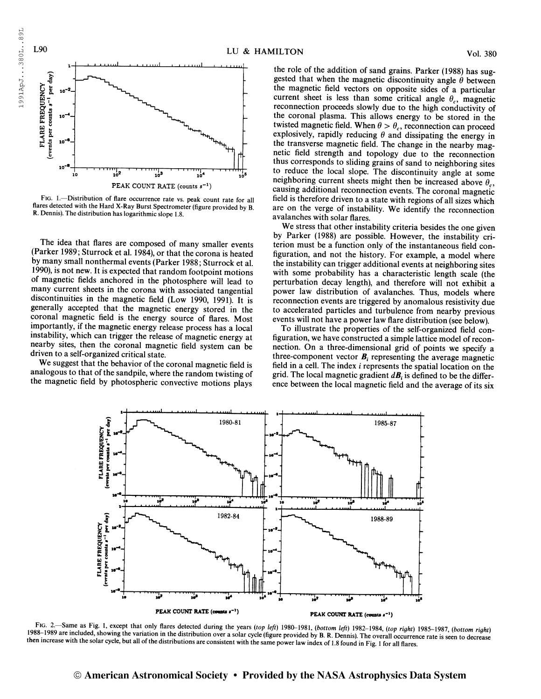

Fig. 1.—Distribution of flare occurrence rate vs. peak count rate for all flares detected with the Hard X-Ray Burst Spectrometer (figure provided by B. R. Dennis). The distribution has logarithmic slope 1.8.

The idea that flares are composed of many smaller events (Parker 1989; Sturrock et al. 1984), or that the corona is heated by many small nonthermal events (Parker 1988; Sturrock et al. 1990), is not new. It is expected that random footpoint motions of magnetic fields anchored in the photosphere will lead to many current sheets in the corona with associated tangential discontinuities in the magnetic field (Low 1990, 1991). It is generally accepted that the magnetic energy stored in the coronal magnetic field is the energy source of flares. Most importantly, if the magnetic energy release process has a local instability, which can trigger the release of magnetic energy at nearby sites, then the coronal magnetic field system can be driven to a self-organized critical state.

We suggest that the behavior of the coronal magnetic field is analogous to that of the sandpile, where the random twisting of the magnetic field by photospheric convective motions plays

the role of the addition of sand grains. Parker (1988) has suggested that when the magnetic discontinuity angle  $\theta$  between the magnetic field vectors on opposite sides of a particular current sheet is less than some critical angle  $\theta_c$ , magnetic reconnection proceeds slowly due to the high conductivity of the coronal plasma. This allows energy to be stored in the twisted magnetic field. When  $\theta > \theta_c$ , reconnection can proceed explosively, rapidly reducing  $\theta$  and dissipating the energy in the transverse magnetic field. The change in the nearby magnetic field strength and topology due to the reconnection thus corresponds to sliding grains of sand to neighboring sites to reduce the local slope. The discontinuity angle at some neighboring current sheets might then be increased above  $\theta_c$ , causing additional reconnection events. The coronal magnetic field is therefore driven to a state with regions of all sizes which are on the verge of instability. We identify the reconnection avalanches with solar flares.

We stress that other instability criteria besides the one given by Parker (1988) are possible. However, the instability criterion must be a function only of the instantaneous field configuration, and not the history. For example, a model where the instability can trigger additional events at neighboring sites with some probability has a characteristic length scale (the perturbation decay length), and therefore will not exhibit a power law distribution of avalanches. Thus, models where reconnection events are triggered by anomalous resistivity due to accelerated particles and turbulence from nearby previous events will not have a power law flare distribution (see below).

To illustrate the properties of the self-organized field configuration, we have constructed a simple lattice model of reconnection. On a three-dimensional grid of points we specify a three-component vector  $\mathbf{B}_i$  representing the average magnetic field in a cell. The index i represents the spatial location on the grid. The local magnetic gradient  $d\mathbf{B}$ , is defined to be the difference between the local magnetic field and the average of its six



 $1988-1989$  are included, showing the variation then increase with the solar cycle, but all of the distributions are consistent with the same power law index of 1.8 found in Fig. 1 for all flares.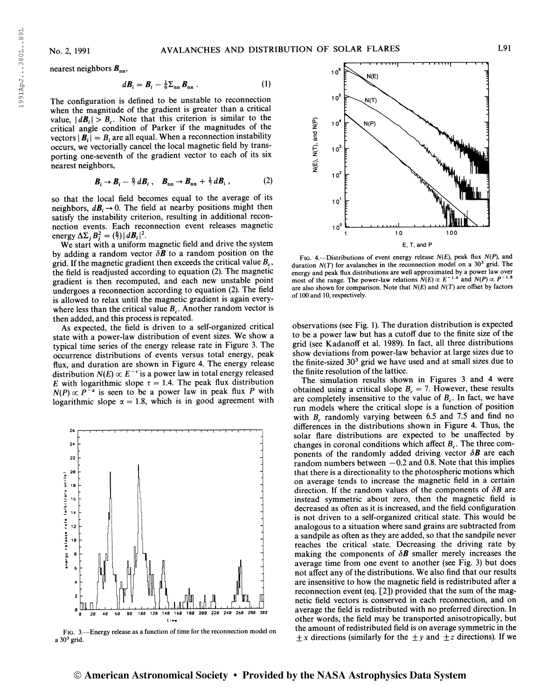1991ApJ. . .380L. .8 9L

1991ApJ...380L..89L

nearest neighbors  $B_{nn}$ ,

$$
d\boldsymbol{B}_i = \boldsymbol{B}_i - \frac{1}{6} \boldsymbol{\Sigma}_{nn} \boldsymbol{B}_{nn} \,. \tag{1}
$$

The configuration is defined to be unstable to reconnection when the magnitude of the gradient is greater than a critical value,  $|dB_i| > B_c$ . Note that this criterion is similar to the critical angle condition of Parker if the magnitudes of the vectors  $|\mathbf{B}_i| = B_i$  are all equal. When a reconnection instability occurs, we vectorially cancel the local magnetic field by transporting one-seventh of the gradient vector to each of its six nearest neighbors,

$$
\boldsymbol{B}_i \to \boldsymbol{B}_i - \frac{6}{7} d\boldsymbol{B}_i , \quad \boldsymbol{B}_{nn} \to \boldsymbol{B}_{nn} + \frac{1}{7} d\boldsymbol{B}_i , \qquad (2)
$$

so that the local field becomes equal to the average of its neighbors,  $d\mathbf{B}_i \rightarrow 0$ . The field at nearby positions might then satisfy the instability criterion, resulting in additional reconnection events. Each reconnection event releases magnetic energy  $\Delta\Sigma_j B_j^2 = \left(\frac{6}{7}\right) |d\boldsymbol{B}_i|^2$ .

We start with a uniform magnetic field and drive the system by adding a random vector  $\delta \mathbf{B}$  to a random position on the grid. If the magnetic gradient then exceeds the critical value  $B_c$ , the field is readjusted according to equation (2). The magnetic gradient is then recomputed, and each new unstable point undergoes a reconnection according to equation (2). The field is allowed to relax until the magnetic gradient is again everywhere less than the critical value  $B<sub>c</sub>$ . Another random vector is then added, and this process is repeated.

As expected, the field is driven to a self-organized critical state with a power-law distribution of event sizes. We show a typical time series of the energy release rate in Figure 3. The occurrence distributions of events versus total energy, peak flux, and duration are shown in Figure 4. The energy release flux, and duration are shown in Figure 4. The energy released<br>distribution  $N(E) \propto E^{-\tau}$  is a power law in total energy released E with logarithmic slope  $\tau = 1.4$ . The peak flux distribution  $N(P) \propto P^{-\alpha}$  is seen to be a power law in peak flux P with logarithmic slope  $\alpha = 1.8$ , which is in good agreement with



Fig. 3.—Energy release as a function of time for the reconnection model on  $a$  30<sup>3</sup> grid.



FIG. 4.—Distributions of event energy release  $N(E)$ , peak flux  $N(P)$ , and duration  $N(T)$  for avalanches in the reconnection model on a  $30<sup>3</sup>$  grid. The energy and peak flux distributions are well approximated by a power law over<br>most of the range. The power-law relations  $N(E) \propto E^{-1.4}$  and  $N(P) \propto P^{-1.8}$ are also shown for comparison. Note that  $N(E)$  and  $N(T)$  are offset by factors of 100 and 10, respectively.

observations (see Fig. 1). The duration distribution is expected to be a power law but has a cutoff due to the finite size of the grid (see Kadanoff et al. 1989). In fact, all three distributions show deviations from power-law behavior at large sizes due to the finite-sized  $30<sup>3</sup>$  grid we have used and at small sizes due to the finite resolution of the lattice.

The simulation results shown in Figures 3 and 4 were obtained using a critical slope  $B_c = 7$ . However, these results are completely insensitive to the value of  $B<sub>c</sub>$ . In fact, we have run models where the critical slope is a function of position with  $B_c$  randomly varying between 6.5 and 7.5 and find no differences in the distributions shown in Figure 4. Thus, the solar flare distributions are expected to be unaffected by changes in coronal conditions which affect  $B_c$ . The three components of the randomly added driving vector  $\delta \mathbf{B}$  are each random numbers between  $-0.2$  and 0.8. Note that this implies that there is a directionality to the photospheric motions which on average tends to increase the magnetic field in a certain direction. If the random values of the components of  $\delta B$  are instead symmetric about zero, then the magnetic field is decreased as often as it is increased, and the field configuration is not driven to a self-organized critical state. This would be analogous to a situation where sand grains are subtracted from a sandpile as often as they are added, so that the sandpile never reaches the critical state. Decreasing the driving rate by making the components of  $\delta \mathbf{B}$  smaller merely increases the average time from one event to another (see Fig. 3) but does not affect any of the distributions. We also find that our results are insensitive to how the magnetic field is redistributed after a reconnection event (eq. [2]) provided that the sum of the magnetic field vectors is conserved in each reconnection, and on average the field is redistributed with no preferred direction. In other words, the field may be transported anisotropically, but the amount of redistributed field is on average symmetric in the  $\pm x$  directions (similarly for the  $\pm y$  and  $\pm z$  directions). If we